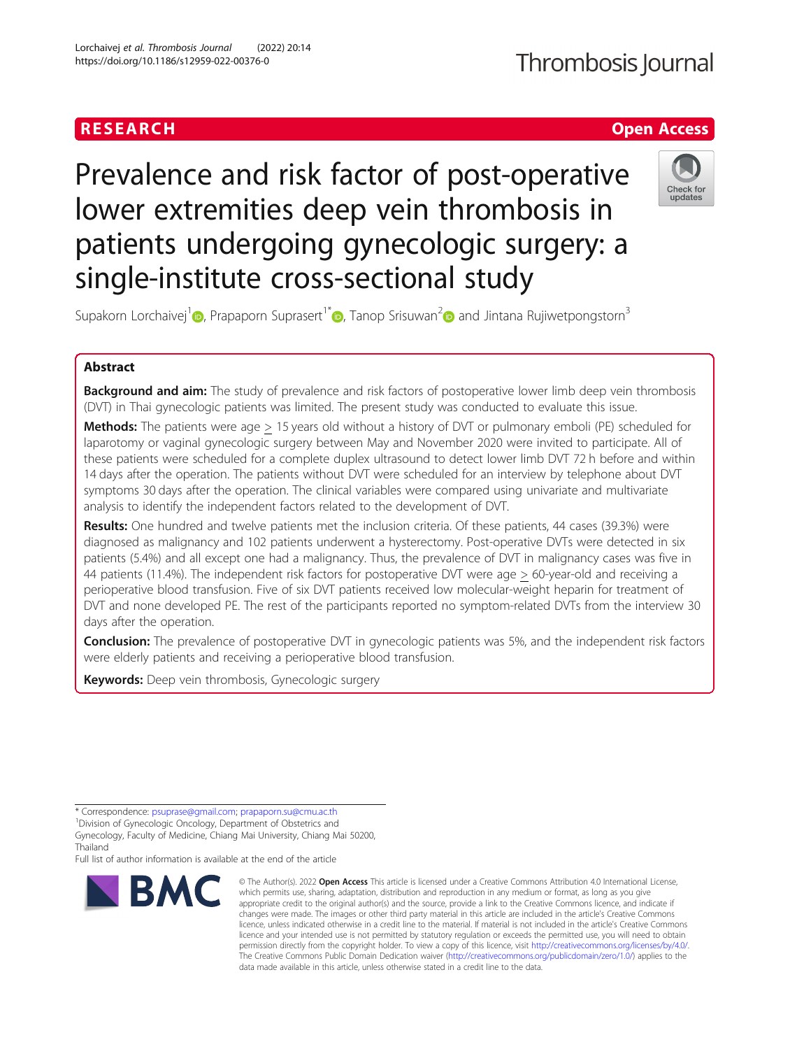### RESEARCH **RESEARCH CHOOSE INTERNATIONAL CONTRACT CONTRACT OF ACCESS**

## Thrombosis Journal

# Prevalence and risk factor of post-operative lower extremities deep vein thrombosis in patients undergoing gynecologic surgery: a single-institute cross-sectional study



Supakorn Lorchaivej<sup>1</sup> <sub>(b</sub>[,](https://orcid.org/0000-0003-2264-8863) Prapaporn Suprasert<sup>1[\\*](https://orcid.org/0000-0002-0205-2280)</sup> <sub>(b</sub>, Tanop Srisuwan<sup>2</sup> and Jintana Rujiwetpongstorn<sup>3</sup>

### Abstract

**Background and aim:** The study of prevalence and risk factors of postoperative lower limb deep vein thrombosis (DVT) in Thai gynecologic patients was limited. The present study was conducted to evaluate this issue.

Methods: The patients were age > 15 years old without a history of DVT or pulmonary emboli (PE) scheduled for laparotomy or vaginal gynecologic surgery between May and November 2020 were invited to participate. All of these patients were scheduled for a complete duplex ultrasound to detect lower limb DVT 72 h before and within 14 days after the operation. The patients without DVT were scheduled for an interview by telephone about DVT symptoms 30 days after the operation. The clinical variables were compared using univariate and multivariate analysis to identify the independent factors related to the development of DVT.

Results: One hundred and twelve patients met the inclusion criteria. Of these patients, 44 cases (39.3%) were diagnosed as malignancy and 102 patients underwent a hysterectomy. Post-operative DVTs were detected in six patients (5.4%) and all except one had a malignancy. Thus, the prevalence of DVT in malignancy cases was five in 44 patients (11.4%). The independent risk factors for postoperative DVT were age > 60-year-old and receiving a perioperative blood transfusion. Five of six DVT patients received low molecular-weight heparin for treatment of DVT and none developed PE. The rest of the participants reported no symptom-related DVTs from the interview 30 days after the operation.

**Conclusion:** The prevalence of postoperative DVT in gynecologic patients was 5%, and the independent risk factors were elderly patients and receiving a perioperative blood transfusion.

Keywords: Deep vein thrombosis, Gynecologic surgery

<sup>1</sup> Division of Gynecologic Oncology, Department of Obstetrics and

Full list of author information is available at the end of the article



<sup>©</sup> The Author(s), 2022 **Open Access** This article is licensed under a Creative Commons Attribution 4.0 International License, which permits use, sharing, adaptation, distribution and reproduction in any medium or format, as long as you give appropriate credit to the original author(s) and the source, provide a link to the Creative Commons licence, and indicate if changes were made. The images or other third party material in this article are included in the article's Creative Commons licence, unless indicated otherwise in a credit line to the material. If material is not included in the article's Creative Commons licence and your intended use is not permitted by statutory regulation or exceeds the permitted use, you will need to obtain permission directly from the copyright holder. To view a copy of this licence, visit [http://creativecommons.org/licenses/by/4.0/.](http://creativecommons.org/licenses/by/4.0/) The Creative Commons Public Domain Dedication waiver [\(http://creativecommons.org/publicdomain/zero/1.0/](http://creativecommons.org/publicdomain/zero/1.0/)) applies to the data made available in this article, unless otherwise stated in a credit line to the data.

<sup>\*</sup> Correspondence: [psuprase@gmail.com;](mailto:psuprase@gmail.com) [prapaporn.su@cmu.ac.th](mailto:prapaporn.su@cmu.ac.th) <sup>1</sup>

Gynecology, Faculty of Medicine, Chiang Mai University, Chiang Mai 50200, Thailand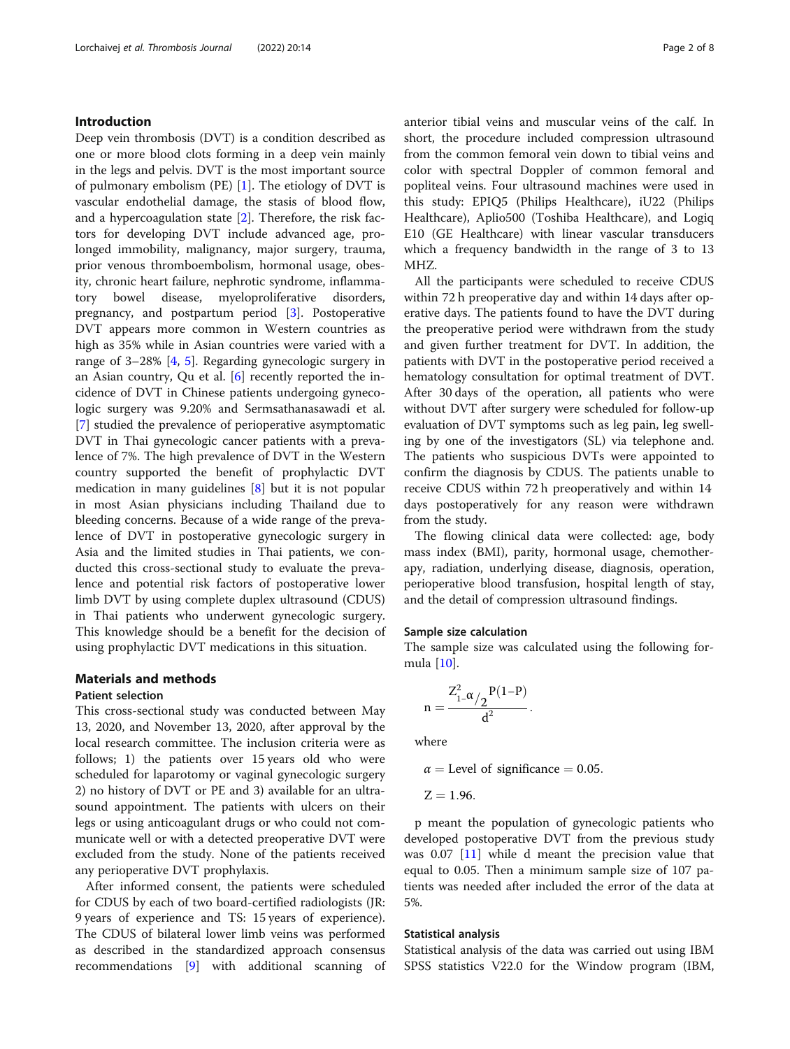#### Introduction

Deep vein thrombosis (DVT) is a condition described as one or more blood clots forming in a deep vein mainly in the legs and pelvis. DVT is the most important source of pulmonary embolism (PE) [[1\]](#page-7-0). The etiology of DVT is vascular endothelial damage, the stasis of blood flow, and a hypercoagulation state [[2](#page-7-0)]. Therefore, the risk factors for developing DVT include advanced age, prolonged immobility, malignancy, major surgery, trauma, prior venous thromboembolism, hormonal usage, obesity, chronic heart failure, nephrotic syndrome, inflammatory bowel disease, myeloproliferative disorders, pregnancy, and postpartum period [[3\]](#page-7-0). Postoperative DVT appears more common in Western countries as high as 35% while in Asian countries were varied with a range of 3–28% [[4,](#page-7-0) [5](#page-7-0)]. Regarding gynecologic surgery in an Asian country, Qu et al. [[6\]](#page-7-0) recently reported the incidence of DVT in Chinese patients undergoing gynecologic surgery was 9.20% and Sermsathanasawadi et al. [[7\]](#page-7-0) studied the prevalence of perioperative asymptomatic DVT in Thai gynecologic cancer patients with a prevalence of 7%. The high prevalence of DVT in the Western country supported the benefit of prophylactic DVT medication in many guidelines [\[8](#page-7-0)] but it is not popular in most Asian physicians including Thailand due to bleeding concerns. Because of a wide range of the prevalence of DVT in postoperative gynecologic surgery in Asia and the limited studies in Thai patients, we conducted this cross-sectional study to evaluate the prevalence and potential risk factors of postoperative lower limb DVT by using complete duplex ultrasound (CDUS) in Thai patients who underwent gynecologic surgery. This knowledge should be a benefit for the decision of using prophylactic DVT medications in this situation.

#### Materials and methods

#### Patient selection

This cross-sectional study was conducted between May 13, 2020, and November 13, 2020, after approval by the local research committee. The inclusion criteria were as follows; 1) the patients over 15 years old who were scheduled for laparotomy or vaginal gynecologic surgery 2) no history of DVT or PE and 3) available for an ultrasound appointment. The patients with ulcers on their legs or using anticoagulant drugs or who could not communicate well or with a detected preoperative DVT were excluded from the study. None of the patients received any perioperative DVT prophylaxis.

After informed consent, the patients were scheduled for CDUS by each of two board-certified radiologists (JR: 9 years of experience and TS: 15 years of experience). The CDUS of bilateral lower limb veins was performed as described in the standardized approach consensus recommendations [[9\]](#page-7-0) with additional scanning of anterior tibial veins and muscular veins of the calf. In short, the procedure included compression ultrasound from the common femoral vein down to tibial veins and color with spectral Doppler of common femoral and popliteal veins. Four ultrasound machines were used in this study: EPIQ5 (Philips Healthcare), iU22 (Philips Healthcare), Aplio500 (Toshiba Healthcare), and Logiq E10 (GE Healthcare) with linear vascular transducers which a frequency bandwidth in the range of 3 to 13 MHZ.

All the participants were scheduled to receive CDUS within 72 h preoperative day and within 14 days after operative days. The patients found to have the DVT during the preoperative period were withdrawn from the study and given further treatment for DVT. In addition, the patients with DVT in the postoperative period received a hematology consultation for optimal treatment of DVT. After 30 days of the operation, all patients who were without DVT after surgery were scheduled for follow-up evaluation of DVT symptoms such as leg pain, leg swelling by one of the investigators (SL) via telephone and. The patients who suspicious DVTs were appointed to confirm the diagnosis by CDUS. The patients unable to receive CDUS within 72 h preoperatively and within 14 days postoperatively for any reason were withdrawn from the study.

The flowing clinical data were collected: age, body mass index (BMI), parity, hormonal usage, chemotherapy, radiation, underlying disease, diagnosis, operation, perioperative blood transfusion, hospital length of stay, and the detail of compression ultrasound findings.

#### Sample size calculation

The sample size was calculated using the following formula [\[10](#page-7-0)].

$$
n=\frac{Z_{1-}^2\alpha/2\frac{P(1-P)}{d^2}}{d^2}.
$$

where

$$
\alpha
$$
 = Level of significance = 0.05.  
Z = 1.96.

p meant the population of gynecologic patients who developed postoperative DVT from the previous study was 0.07 [\[11\]](#page-7-0) while d meant the precision value that equal to 0.05. Then a minimum sample size of 107 patients was needed after included the error of the data at 5%.

#### Statistical analysis

Statistical analysis of the data was carried out using IBM SPSS statistics V22.0 for the Window program (IBM,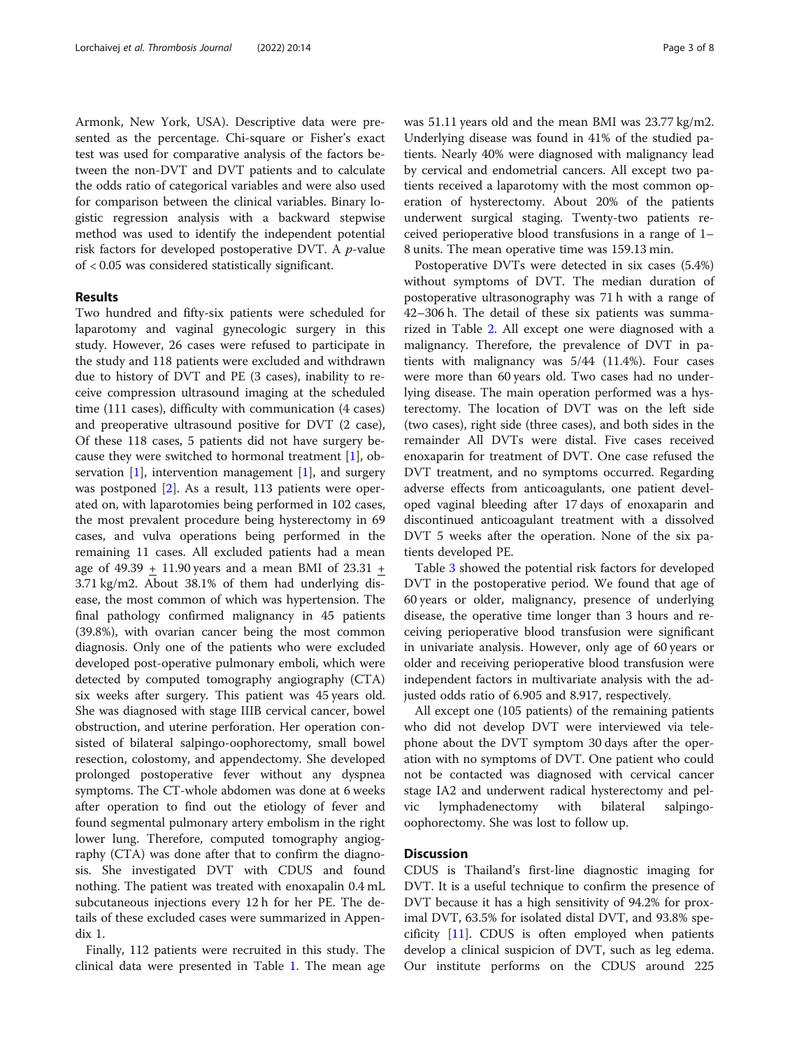Armonk, New York, USA). Descriptive data were presented as the percentage. Chi-square or Fisher's exact test was used for comparative analysis of the factors between the non-DVT and DVT patients and to calculate the odds ratio of categorical variables and were also used for comparison between the clinical variables. Binary logistic regression analysis with a backward stepwise method was used to identify the independent potential risk factors for developed postoperative DVT. A p-value of < 0.05 was considered statistically significant.

#### Results

Two hundred and fifty-six patients were scheduled for laparotomy and vaginal gynecologic surgery in this study. However, 26 cases were refused to participate in the study and 118 patients were excluded and withdrawn due to history of DVT and PE (3 cases), inability to receive compression ultrasound imaging at the scheduled time (111 cases), difficulty with communication (4 cases) and preoperative ultrasound positive for DVT (2 case), Of these 118 cases, 5 patients did not have surgery because they were switched to hormonal treatment  $[1]$  $[1]$  $[1]$ , observation  $[1]$  $[1]$ , intervention management  $[1]$ , and surgery was postponed [\[2](#page-7-0)]. As a result, 113 patients were operated on, with laparotomies being performed in 102 cases, the most prevalent procedure being hysterectomy in 69 cases, and vulva operations being performed in the remaining 11 cases. All excluded patients had a mean age of  $49.39 + 11.90$  years and a mean BMI of  $23.31 +$ 3.71 kg/m2. About 38.1% of them had underlying disease, the most common of which was hypertension. The final pathology confirmed malignancy in 45 patients (39.8%), with ovarian cancer being the most common diagnosis. Only one of the patients who were excluded developed post-operative pulmonary emboli, which were detected by computed tomography angiography (CTA) six weeks after surgery. This patient was 45 years old. She was diagnosed with stage IIIB cervical cancer, bowel obstruction, and uterine perforation. Her operation consisted of bilateral salpingo-oophorectomy, small bowel resection, colostomy, and appendectomy. She developed prolonged postoperative fever without any dyspnea symptoms. The CT-whole abdomen was done at 6 weeks after operation to find out the etiology of fever and found segmental pulmonary artery embolism in the right lower lung. Therefore, computed tomography angiography (CTA) was done after that to confirm the diagnosis. She investigated DVT with CDUS and found nothing. The patient was treated with enoxapalin 0.4 mL subcutaneous injections every 12 h for her PE. The details of these excluded cases were summarized in Appendix 1.

Finally, 112 patients were recruited in this study. The clinical data were presented in Table [1](#page-3-0). The mean age was 51.11 years old and the mean BMI was 23.77 kg/m2. Underlying disease was found in 41% of the studied patients. Nearly 40% were diagnosed with malignancy lead by cervical and endometrial cancers. All except two patients received a laparotomy with the most common operation of hysterectomy. About 20% of the patients underwent surgical staging. Twenty-two patients received perioperative blood transfusions in a range of 1– 8 units. The mean operative time was 159.13 min.

Postoperative DVTs were detected in six cases (5.4%) without symptoms of DVT. The median duration of postoperative ultrasonography was 71 h with a range of 42–306 h. The detail of these six patients was summarized in Table [2.](#page-5-0) All except one were diagnosed with a malignancy. Therefore, the prevalence of DVT in patients with malignancy was 5/44 (11.4%). Four cases were more than 60 years old. Two cases had no underlying disease. The main operation performed was a hysterectomy. The location of DVT was on the left side (two cases), right side (three cases), and both sides in the remainder All DVTs were distal. Five cases received enoxaparin for treatment of DVT. One case refused the DVT treatment, and no symptoms occurred. Regarding adverse effects from anticoagulants, one patient developed vaginal bleeding after 17 days of enoxaparin and discontinued anticoagulant treatment with a dissolved DVT 5 weeks after the operation. None of the six patients developed PE.

Table [3](#page-6-0) showed the potential risk factors for developed DVT in the postoperative period. We found that age of 60 years or older, malignancy, presence of underlying disease, the operative time longer than 3 hours and receiving perioperative blood transfusion were significant in univariate analysis. However, only age of 60 years or older and receiving perioperative blood transfusion were independent factors in multivariate analysis with the adjusted odds ratio of 6.905 and 8.917, respectively.

All except one (105 patients) of the remaining patients who did not develop DVT were interviewed via telephone about the DVT symptom 30 days after the operation with no symptoms of DVT. One patient who could not be contacted was diagnosed with cervical cancer stage IA2 and underwent radical hysterectomy and pelvic lymphadenectomy with bilateral salpingooophorectomy. She was lost to follow up.

#### **Discussion**

CDUS is Thailand's first-line diagnostic imaging for DVT. It is a useful technique to confirm the presence of DVT because it has a high sensitivity of 94.2% for proximal DVT, 63.5% for isolated distal DVT, and 93.8% specificity [[11\]](#page-7-0). CDUS is often employed when patients develop a clinical suspicion of DVT, such as leg edema. Our institute performs on the CDUS around 225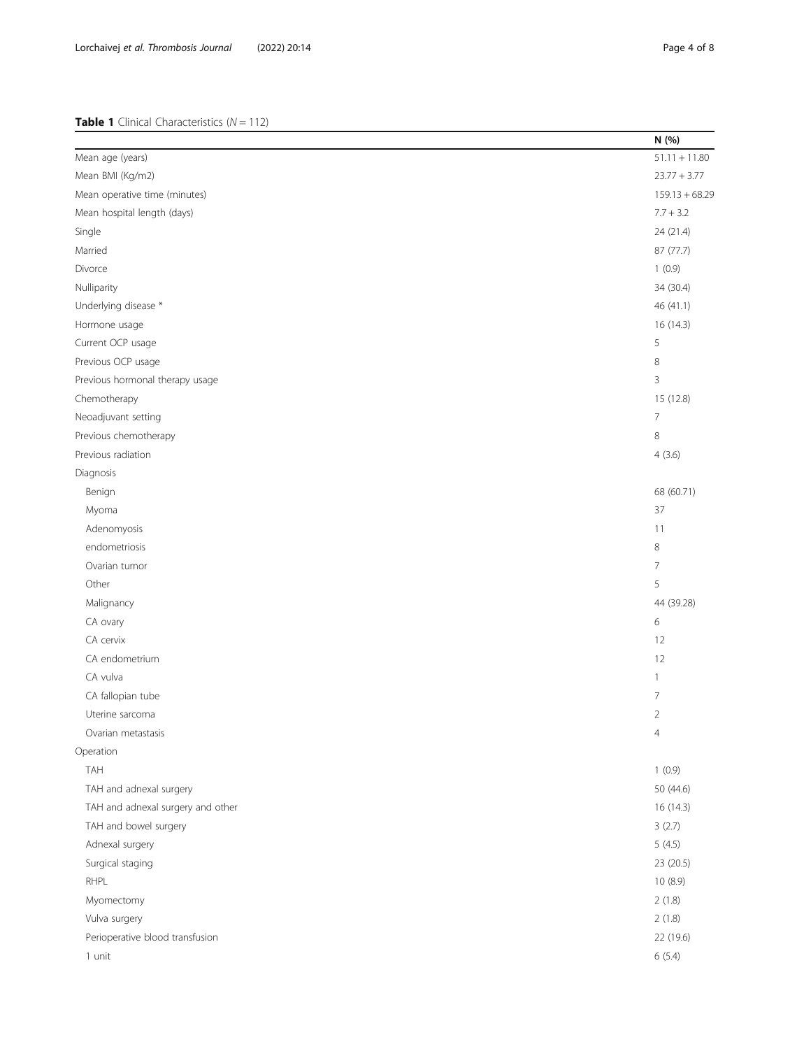#### <span id="page-3-0"></span>Table 1 Clinical Characteristics (N = 112)

|                                   | N (%)            |
|-----------------------------------|------------------|
| Mean age (years)                  | $51.11 + 11.80$  |
| Mean BMI (Kg/m2)                  | $23.77 + 3.77$   |
| Mean operative time (minutes)     | $159.13 + 68.29$ |
| Mean hospital length (days)       | $7.7 + 3.2$      |
| Single                            | 24 (21.4)        |
| Married                           | 87 (77.7)        |
| Divorce                           | 1(0.9)           |
| Nulliparity                       | 34 (30.4)        |
| Underlying disease *              | 46 (41.1)        |
| Hormone usage                     | 16 (14.3)        |
| Current OCP usage                 | 5                |
| Previous OCP usage                | $\,8\,$          |
| Previous hormonal therapy usage   | 3                |
| Chemotherapy                      | 15 (12.8)        |
| Neoadjuvant setting               | $\overline{7}$   |
| Previous chemotherapy             | $\,8\,$          |
| Previous radiation                | 4(3.6)           |
| Diagnosis                         |                  |
| Benign                            | 68 (60.71)       |
| Myoma                             | 37               |
| Adenomyosis                       | 11               |
| endometriosis                     | 8                |
| Ovarian tumor                     | $\overline{7}$   |
| Other                             | 5                |
| Malignancy                        | 44 (39.28)       |
| CA ovary                          | 6                |
| CA cervix                         | 12               |
| CA endometrium                    | 12               |
| CA vulva                          | $\mathbf{1}$     |
| CA fallopian tube                 | $\overline{7}$   |
| Uterine sarcoma                   | $\overline{2}$   |
| Ovarian metastasis                | $\overline{4}$   |
| Operation                         |                  |
| <b>TAH</b>                        | 1(0.9)           |
| TAH and adnexal surgery           | 50 (44.6)        |
| TAH and adnexal surgery and other | 16 (14.3)        |
| TAH and bowel surgery             | 3(2.7)           |
| Adnexal surgery                   | 5(4.5)           |
| Surgical staging                  | 23 (20.5)        |
| RHPL                              | 10 (8.9)         |
| Myomectomy                        | 2(1.8)           |
| Vulva surgery                     | 2(1.8)           |
| Perioperative blood transfusion   | 22 (19.6)        |
| $1$ unit                          | 6(5.4)           |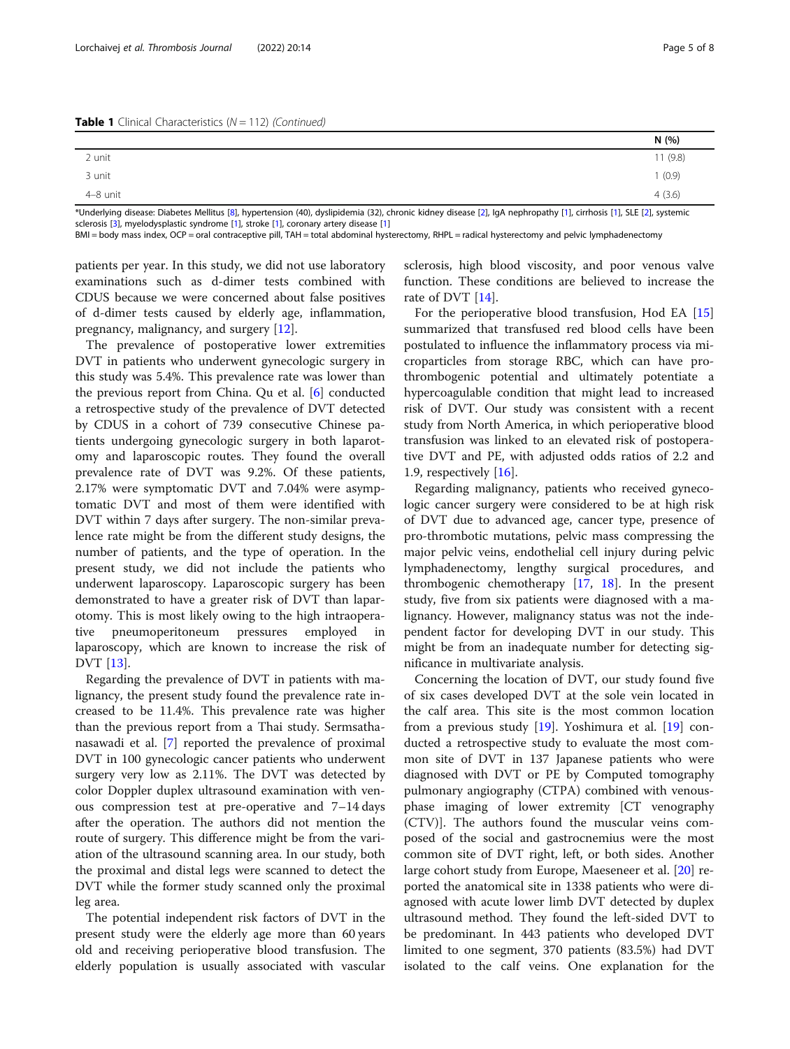|          | N (%)   |
|----------|---------|
| 2 unit   | 11(9.8) |
| 3 unit   | 1(0.9)  |
| 4-8 unit | 4(3.6)  |

\*Underlying disease: Diabetes Mellitus [\[8](#page-7-0)], hypertension (40), dyslipidemia (32), chronic kidney disease [\[2](#page-7-0)], IgA nephropathy [\[1\]](#page-7-0), cirrhosis [[1](#page-7-0)], SLE [[2](#page-7-0)], systemic sclerosis [\[3\]](#page-7-0), myelodysplastic syndrome [\[1\]](#page-7-0), stroke [\[1\]](#page-7-0), coronary artery disease [[1](#page-7-0)]

BMI = body mass index, OCP = oral contraceptive pill, TAH = total abdominal hysterectomy, RHPL = radical hysterectomy and pelvic lymphadenectomy

patients per year. In this study, we did not use laboratory examinations such as d-dimer tests combined with CDUS because we were concerned about false positives of d-dimer tests caused by elderly age, inflammation, pregnancy, malignancy, and surgery [\[12](#page-7-0)].

The prevalence of postoperative lower extremities DVT in patients who underwent gynecologic surgery in this study was 5.4%. This prevalence rate was lower than the previous report from China. Qu et al. [\[6](#page-7-0)] conducted a retrospective study of the prevalence of DVT detected by CDUS in a cohort of 739 consecutive Chinese patients undergoing gynecologic surgery in both laparotomy and laparoscopic routes. They found the overall prevalence rate of DVT was 9.2%. Of these patients, 2.17% were symptomatic DVT and 7.04% were asymptomatic DVT and most of them were identified with DVT within 7 days after surgery. The non-similar prevalence rate might be from the different study designs, the number of patients, and the type of operation. In the present study, we did not include the patients who underwent laparoscopy. Laparoscopic surgery has been demonstrated to have a greater risk of DVT than laparotomy. This is most likely owing to the high intraoperative pneumoperitoneum pressures employed in laparoscopy, which are known to increase the risk of DVT [\[13](#page-7-0)].

Regarding the prevalence of DVT in patients with malignancy, the present study found the prevalence rate increased to be 11.4%. This prevalence rate was higher than the previous report from a Thai study. Sermsathanasawadi et al. [\[7\]](#page-7-0) reported the prevalence of proximal DVT in 100 gynecologic cancer patients who underwent surgery very low as 2.11%. The DVT was detected by color Doppler duplex ultrasound examination with venous compression test at pre-operative and 7–14 days after the operation. The authors did not mention the route of surgery. This difference might be from the variation of the ultrasound scanning area. In our study, both the proximal and distal legs were scanned to detect the DVT while the former study scanned only the proximal leg area.

The potential independent risk factors of DVT in the present study were the elderly age more than 60 years old and receiving perioperative blood transfusion. The elderly population is usually associated with vascular sclerosis, high blood viscosity, and poor venous valve function. These conditions are believed to increase the rate of DVT [[14\]](#page-7-0).

For the perioperative blood transfusion, Hod EA [[15](#page-7-0)] summarized that transfused red blood cells have been postulated to influence the inflammatory process via microparticles from storage RBC, which can have prothrombogenic potential and ultimately potentiate a hypercoagulable condition that might lead to increased risk of DVT. Our study was consistent with a recent study from North America, in which perioperative blood transfusion was linked to an elevated risk of postoperative DVT and PE, with adjusted odds ratios of 2.2 and 1.9, respectively [\[16](#page-7-0)].

Regarding malignancy, patients who received gynecologic cancer surgery were considered to be at high risk of DVT due to advanced age, cancer type, presence of pro-thrombotic mutations, pelvic mass compressing the major pelvic veins, endothelial cell injury during pelvic lymphadenectomy, lengthy surgical procedures, and thrombogenic chemotherapy  $[17, 18]$  $[17, 18]$  $[17, 18]$  $[17, 18]$ . In the present study, five from six patients were diagnosed with a malignancy. However, malignancy status was not the independent factor for developing DVT in our study. This might be from an inadequate number for detecting significance in multivariate analysis.

Concerning the location of DVT, our study found five of six cases developed DVT at the sole vein located in the calf area. This site is the most common location from a previous study [[19\]](#page-7-0). Yoshimura et al. [[19\]](#page-7-0) conducted a retrospective study to evaluate the most common site of DVT in 137 Japanese patients who were diagnosed with DVT or PE by Computed tomography pulmonary angiography (CTPA) combined with venousphase imaging of lower extremity [CT venography (CTV)]. The authors found the muscular veins composed of the social and gastrocnemius were the most common site of DVT right, left, or both sides. Another large cohort study from Europe, Maeseneer et al. [\[20\]](#page-7-0) reported the anatomical site in 1338 patients who were diagnosed with acute lower limb DVT detected by duplex ultrasound method. They found the left-sided DVT to be predominant. In 443 patients who developed DVT limited to one segment, 370 patients (83.5%) had DVT isolated to the calf veins. One explanation for the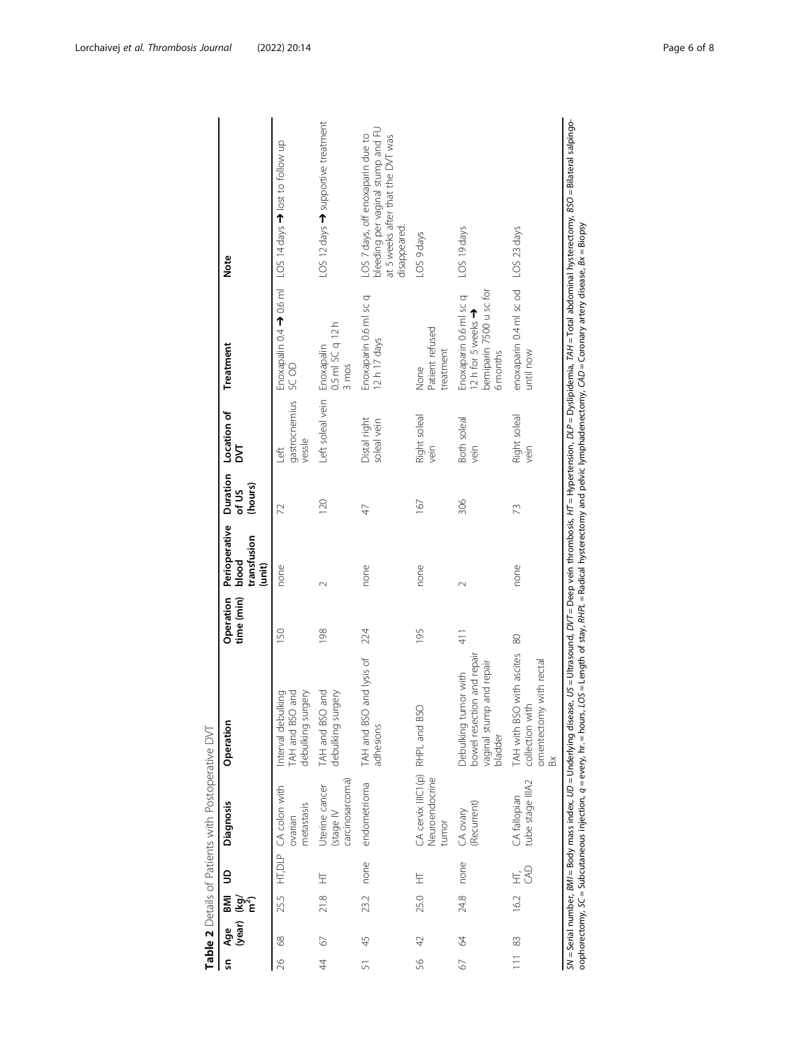<span id="page-5-0"></span>

| Sn             | (year)<br>Age | ВMI<br>Wey<br>E | $\mathsf{S}$ | <b>Diagnosis</b>                                           | Operation                                                                                                     | Operation<br>time (min) | Perioperative<br>transfusion<br>blood<br>(unit) | Duration<br>(hours)<br>of US | Location of<br>Σ                | Treatment                                                                        | Note                                                                                                                        |
|----------------|---------------|-----------------|--------------|------------------------------------------------------------|---------------------------------------------------------------------------------------------------------------|-------------------------|-------------------------------------------------|------------------------------|---------------------------------|----------------------------------------------------------------------------------|-----------------------------------------------------------------------------------------------------------------------------|
| $\approx$      | 68            | 255             |              | HT, DLP CA colon with<br>metastasis<br>ovarian             | and<br>debulking surgery<br>Interval debulking<br>TAH and BSO                                                 | 150                     | none                                            | 22                           | gastrocnemius<br>vessle<br>Left | <b>GC OD</b>                                                                     | Enoxapalin 0.4 → 0.6 ml LOS 14 days → lost to follow up                                                                     |
| $\overline{4}$ | 67            | 218             | 보            | carcinosarcoma<br>Uterine cancer<br>(stage IV              | and<br>debulking surgery<br>TAH and BSO                                                                       | 198                     | $\sim$                                          | 120                          | Left soleal vein                | 0.5 ml SC q 12 h<br>Enoxapalin<br>3 mos                                          | LOS 12 days > supportive treatment                                                                                          |
| $\overline{5}$ | 45            | 23.2            | none         | endometrioma                                               | and lysis of<br>TAH and BSO<br>adhesions                                                                      | 224                     | none                                            | 47                           | Distal right<br>soleal vein     | Enoxaparin 0.6 ml sc q<br>12h 17 days                                            | bleeding per vaginal stump and FU<br>LOS 7 days, off enoxaparin due to<br>at 5 weeks after that the DVT was<br>disappeared. |
| 56             | 42            | 25.0            | Ë            | CA cervix IIIC1(p) RHPL and BSO<br>Neuroendocrine<br>tumor |                                                                                                               | 195                     | none                                            | 167                          | Right soleal<br>vein            | Patient refused<br>treatment<br>None                                             | LOS 9 days                                                                                                                  |
| 67             | 64            | 24.8            | none         | (Recurrent)<br>CA ovary                                    | bowel resection and repair<br>and repair<br>Debulking tumor with<br>vaginal stump<br>bladder                  | 411                     | $\sim$                                          | 306                          | Both soleal<br>vein             | bemiparin 7500 u sc for<br>Enoxaparin 0.6 ml sc q<br>12h for 5 weeks<br>6 months | LOS 19 days                                                                                                                 |
| $\frac{1}{2}$  | 83            | 16.2            | S<br>Ė       | tube stage IIIA2<br>CA fallopian                           | with ascites<br>omentectomy with rectal<br>TAH with BSO<br>collection with<br>$\stackrel{\times}{\mathbb{B}}$ | 80                      | none                                            | 73                           | Right soleal<br>vein            | enoxaparin 0.4 ml sc od<br>until now                                             | LOS 23 days                                                                                                                 |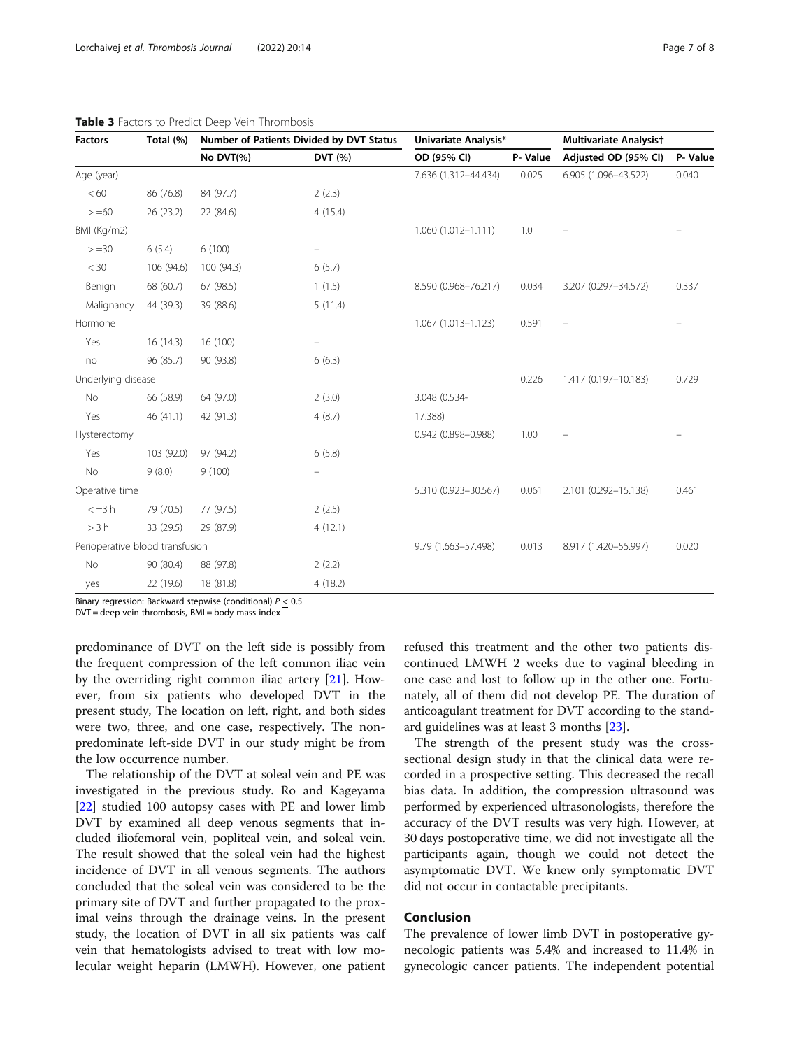| <b>Factors</b>                  | Total (%)  | Number of Patients Divided by DVT Status |                   | Univariate Analysis*   |         | <b>Multivariate Analysist</b> |         |
|---------------------------------|------------|------------------------------------------|-------------------|------------------------|---------|-------------------------------|---------|
|                                 |            | No DVT(%)                                | DVT (%)           | OD (95% CI)            | P-Value | Adjusted OD (95% CI)          | P-Value |
| Age (year)                      |            |                                          |                   | 7.636 (1.312-44.434)   | 0.025   | 6.905 (1.096-43.522)          | 0.040   |
| < 60                            | 86 (76.8)  | 84 (97.7)                                | 2(2.3)            |                        |         |                               |         |
| $> = 60$                        | 26 (23.2)  | 22 (84.6)                                | 4(15.4)           |                        |         |                               |         |
| BMI (Kg/m2)                     |            |                                          |                   | 1.060 (1.012-1.111)    | 1.0     |                               |         |
| $> = 30$                        | 6(5.4)     | 6(100)                                   | $\qquad \qquad -$ |                        |         |                               |         |
| $<$ 30                          | 106 (94.6) | 100 (94.3)                               | 6(5.7)            |                        |         |                               |         |
| Benign                          | 68 (60.7)  | 67 (98.5)                                | 1(1.5)            | 8.590 (0.968-76.217)   | 0.034   | 3.207 (0.297-34.572)          | 0.337   |
| Malignancy                      | 44 (39.3)  | 39 (88.6)                                | 5(11.4)           |                        |         |                               |         |
| Hormone                         |            |                                          |                   | $1.067(1.013 - 1.123)$ | 0.591   |                               |         |
| Yes                             | 16(14.3)   | 16 (100)                                 | $\qquad \qquad -$ |                        |         |                               |         |
| no                              | 96 (85.7)  | 90 (93.8)                                | 6(6.3)            |                        |         |                               |         |
| Underlying disease              |            |                                          |                   |                        | 0.226   | 1.417 (0.197-10.183)          | 0.729   |
| No                              | 66 (58.9)  | 64 (97.0)                                | 2(3.0)            | 3.048 (0.534-          |         |                               |         |
| Yes                             | 46 (41.1)  | 42 (91.3)                                | 4(8.7)            | 17.388)                |         |                               |         |
| Hysterectomy                    |            |                                          |                   | 0.942 (0.898-0.988)    | 1.00    |                               |         |
| Yes                             | 103 (92.0) | 97 (94.2)                                | 6(5.8)            |                        |         |                               |         |
| No                              | 9(8.0)     | 9(100)                                   |                   |                        |         |                               |         |
| Operative time                  |            |                                          |                   | 5.310 (0.923-30.567)   | 0.061   | 2.101 (0.292-15.138)          | 0.461   |
| $\leq$ =3 h                     | 79 (70.5)  | 77 (97.5)                                | 2(2.5)            |                        |         |                               |         |
| >3 h                            | 33 (29.5)  | 29 (87.9)                                | 4(12.1)           |                        |         |                               |         |
| Perioperative blood transfusion |            |                                          |                   | 9.79 (1.663-57.498)    | 0.013   | 8.917 (1.420-55.997)          | 0.020   |
| No                              | 90 (80.4)  | 88 (97.8)                                | 2(2.2)            |                        |         |                               |         |
| yes                             | 22 (19.6)  | 18 (81.8)                                | 4(18.2)           |                        |         |                               |         |

<span id="page-6-0"></span>

|  |  |  |  |  |  | Table 3 Factors to Predict Deep Vein Thrombosis |  |
|--|--|--|--|--|--|-------------------------------------------------|--|
|--|--|--|--|--|--|-------------------------------------------------|--|

Binary regression: Backward stepwise (conditional) P < 0.5

 $DVT = deep$  vein thrombosis,  $BMI = body$  mass index

predominance of DVT on the left side is possibly from the frequent compression of the left common iliac vein by the overriding right common iliac artery [\[21](#page-7-0)]. However, from six patients who developed DVT in the present study, The location on left, right, and both sides were two, three, and one case, respectively. The nonpredominate left-side DVT in our study might be from the low occurrence number.

The relationship of the DVT at soleal vein and PE was investigated in the previous study. Ro and Kageyama [[22\]](#page-7-0) studied 100 autopsy cases with PE and lower limb DVT by examined all deep venous segments that included iliofemoral vein, popliteal vein, and soleal vein. The result showed that the soleal vein had the highest incidence of DVT in all venous segments. The authors concluded that the soleal vein was considered to be the primary site of DVT and further propagated to the proximal veins through the drainage veins. In the present study, the location of DVT in all six patients was calf vein that hematologists advised to treat with low molecular weight heparin (LMWH). However, one patient refused this treatment and the other two patients discontinued LMWH 2 weeks due to vaginal bleeding in one case and lost to follow up in the other one. Fortunately, all of them did not develop PE. The duration of anticoagulant treatment for DVT according to the standard guidelines was at least 3 months [\[23](#page-7-0)].

The strength of the present study was the crosssectional design study in that the clinical data were recorded in a prospective setting. This decreased the recall bias data. In addition, the compression ultrasound was performed by experienced ultrasonologists, therefore the accuracy of the DVT results was very high. However, at 30 days postoperative time, we did not investigate all the participants again, though we could not detect the asymptomatic DVT. We knew only symptomatic DVT did not occur in contactable precipitants.

#### Conclusion

The prevalence of lower limb DVT in postoperative gynecologic patients was 5.4% and increased to 11.4% in gynecologic cancer patients. The independent potential